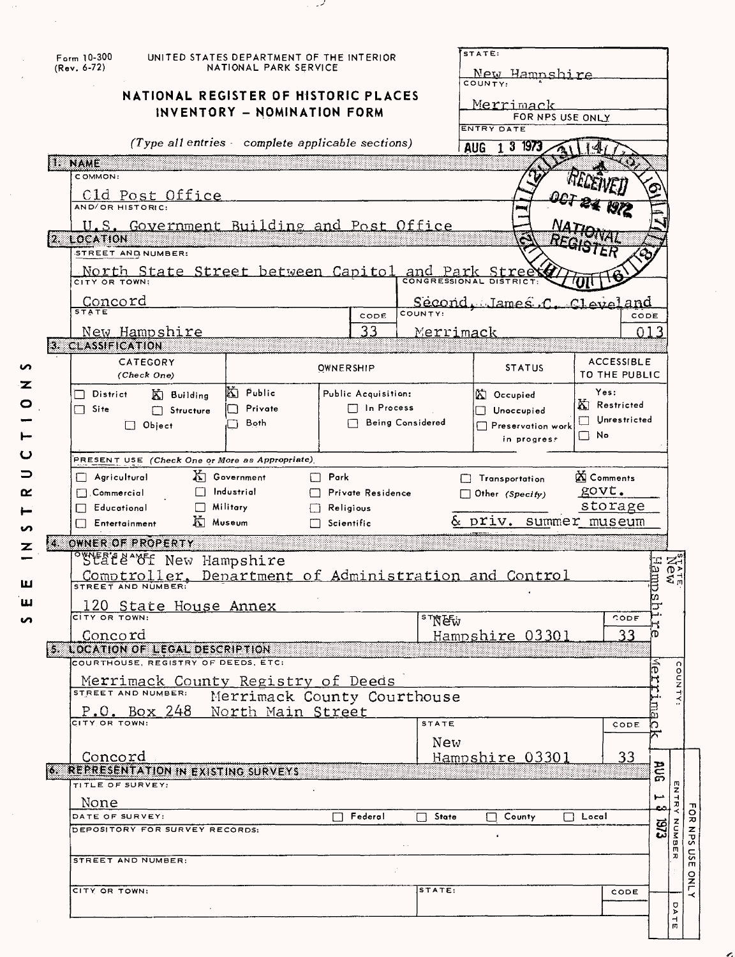|   | $F_{\text{arm}}$ 10-300<br>(Rev. 6-72) |                                                       | UNITED STATES DEPARTMENT OF THE INTERIOR<br>NATIONAL PARK SERVICE |                                     |                  | STATE:                                          |                             |                        |
|---|----------------------------------------|-------------------------------------------------------|-------------------------------------------------------------------|-------------------------------------|------------------|-------------------------------------------------|-----------------------------|------------------------|
|   |                                        |                                                       |                                                                   |                                     |                  | <u>New Hampshire</u><br>COUNTY:                 |                             |                        |
|   |                                        | NATIONAL REGISTER OF HISTORIC PLACES                  |                                                                   |                                     |                  | <u>Merrimack</u>                                |                             |                        |
|   |                                        |                                                       | INVENTORY - NOMINATION FORM                                       |                                     |                  | FOR NPS USE ONLY                                |                             |                        |
|   |                                        | (Type all entries - complete applicable sections)     |                                                                   |                                     |                  | ENTRY DATE                                      |                             |                        |
|   |                                        |                                                       |                                                                   |                                     |                  | AUG 1 3 1973                                    |                             |                        |
|   | 1. NAME<br>COMMON:                     |                                                       |                                                                   |                                     |                  |                                                 |                             |                        |
|   |                                        |                                                       |                                                                   |                                     |                  |                                                 |                             |                        |
|   |                                        | Cld Post Office<br>AND/OR HISTORIC:                   |                                                                   |                                     |                  |                                                 |                             |                        |
|   |                                        | U.S. Government Building and Post Office              |                                                                   |                                     |                  |                                                 |                             |                        |
|   | 2. LOCATION                            |                                                       |                                                                   |                                     |                  |                                                 |                             |                        |
|   |                                        | STREET AND NUMBER:                                    |                                                                   |                                     |                  |                                                 |                             |                        |
|   | CITY OR TOWN:                          | North State Street between Capitol and Park Street    |                                                                   |                                     |                  |                                                 |                             |                        |
|   |                                        |                                                       |                                                                   |                                     |                  | Second James C Claud and                        |                             |                        |
|   | <u>Concord</u><br><sub>state</sub>     |                                                       |                                                                   | CODE                                | COUNTY:          |                                                 |                             | CODE                   |
|   |                                        | <u>New Hampshire</u>                                  |                                                                   | 33                                  | <b>Merrimack</b> |                                                 |                             | 013                    |
|   | 3. CLASSIFICATION                      |                                                       |                                                                   |                                     |                  |                                                 |                             |                        |
| S |                                        | CATEGORY                                              |                                                                   | OWNERSHIP                           |                  | <b>STATUS</b>                                   | <b>ACCESSIBLE</b>           |                        |
| z |                                        | (Check One)                                           |                                                                   |                                     |                  |                                                 | TO THE PUBLIC               |                        |
| O | District                               | $\mathbb{K}$ Building                                 | Ki Public<br>Private                                              | Public Acquisition:<br>□ In Process |                  | A Occupied                                      | Yes:<br><b>K</b> Restricted |                        |
|   | $\Box$ Site                            | Structure<br>$\Box$ Object                            | Both                                                              |                                     | Being Considered | Unoccupied<br>$\Box$ Preservation work          | $\Box$ Unrestricted         |                        |
|   |                                        |                                                       |                                                                   |                                     |                  | in progress                                     | י ⊡                         |                        |
| ပ |                                        | PRESENT USE (Check One or More as Appropriate)        |                                                                   |                                     |                  |                                                 |                             |                        |
| ⊃ | $\Box$ Agricultural                    |                                                       | 右 Government                                                      | $\Box$ Park                         |                  |                                                 | <b>X</b> Comments           |                        |
| ≃ | $\Box$ Commercial                      |                                                       | $\Box$ Industrial                                                 | Private Residence                   |                  | $\Box$ Transportation<br>$\Box$ Other (Specify) | govt.                       |                        |
|   | Educational                            | $\Box$ Military                                       |                                                                   | Religious                           |                  |                                                 | storage                     |                        |
| S | $\Box$ Entertainment                   | K Museum                                              |                                                                   | $\Box$ Scientific                   |                  | & priv. summer museum                           |                             |                        |
| z | ZS.                                    | OWNER OF PROPERTY                                     |                                                                   |                                     |                  |                                                 |                             |                        |
|   |                                        | <b>SYERT&amp; OF</b> New Hampshire                    |                                                                   |                                     |                  |                                                 |                             |                        |
| ш |                                        | Comptroller, Department of Administration and Control |                                                                   |                                     |                  |                                                 |                             |                        |
| ш |                                        |                                                       |                                                                   |                                     |                  |                                                 |                             | New<br>New<br>Hampsh   |
|   | CITY OR TOWN:                          | 120 State House Annex                                 |                                                                   |                                     |                  |                                                 | CODE                        |                        |
| S | Concord                                |                                                       |                                                                   |                                     | <b>STNEW</b>     | Hampshire 03301                                 | 33                          | ጤ                      |
|   |                                        | 5. LOCATION OF LEGAL DESCRIPTION                      |                                                                   |                                     |                  |                                                 |                             |                        |
|   |                                        | COURTHOUSE, REGISTRY OF DEEDS, ETC:                   |                                                                   |                                     |                  |                                                 |                             | $ \hat{\bar{\sigma}} $ |
|   |                                        | <u>Merrimack County Registry of Deeds</u>             |                                                                   |                                     |                  |                                                 |                             |                        |
|   |                                        | STREET AND NUMBER:                                    | Merrimack County Courthouse                                       |                                     |                  |                                                 |                             |                        |
|   | CITY OR TOWN:                          | $P.O.$ Box 248                                        | North Main Street                                                 |                                     | STATE            |                                                 | CODE                        | $\Xi$<br>h             |
|   |                                        |                                                       |                                                                   |                                     |                  |                                                 |                             |                        |
|   | Concord                                |                                                       |                                                                   |                                     | New              | Hampshire 03301                                 | 33                          |                        |
|   |                                        | 6. REPRESENTATION IN EXISTING SURVEYS                 |                                                                   |                                     |                  |                                                 |                             | BUR                    |
|   | TITLE OF SURVEY:                       |                                                       |                                                                   |                                     |                  |                                                 |                             |                        |
|   | None                                   |                                                       |                                                                   |                                     |                  |                                                 |                             | مسو<br>౿               |
|   | DATE OF SURVEY:                        | DEPOSITORY FOR SURVEY RECORDS:                        |                                                                   | Federal                             | State<br>$\Box$  | County<br>$\mathbf{1}$                          | $\Box$ Local                |                        |
|   |                                        |                                                       |                                                                   |                                     |                  |                                                 |                             | EXONBER                |
|   |                                        | STREET AND NUMBER:                                    |                                                                   |                                     |                  |                                                 |                             |                        |
|   |                                        |                                                       |                                                                   |                                     |                  |                                                 |                             |                        |
|   | CITY OR TOWN:                          |                                                       |                                                                   |                                     | STATE:           |                                                 | CODE                        |                        |
|   |                                        |                                                       |                                                                   |                                     |                  |                                                 |                             | <b>DATE</b>            |
|   |                                        |                                                       |                                                                   |                                     |                  |                                                 |                             |                        |
|   |                                        |                                                       |                                                                   |                                     |                  |                                                 |                             |                        |

المحبوب

J,

l,

FOR NPS USE ONLY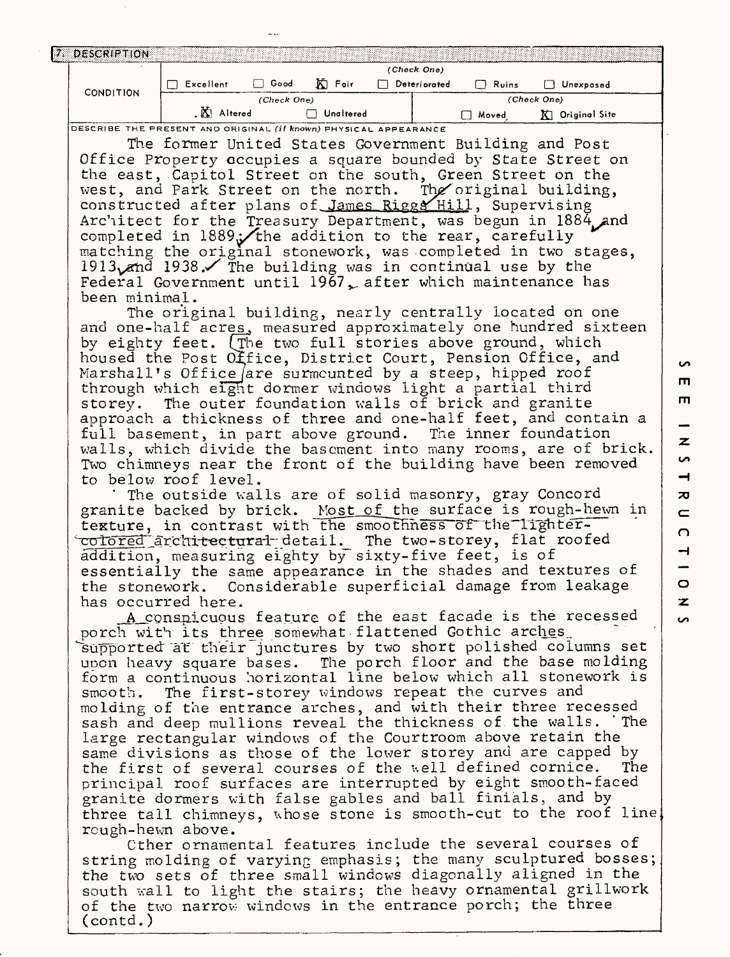|  | 7 DESCRIPTION    |             |      |           |             |              |       |               |  |
|--|------------------|-------------|------|-----------|-------------|--------------|-------|---------------|--|
|  | <b>CONDITION</b> | (Check One) |      |           |             |              |       |               |  |
|  |                  | Excellent   | Good | K Fair    |             | Deteriorated | Ruins | Unexposed     |  |
|  |                  | (Check One) |      |           | (Check One) |              |       |               |  |
|  |                  | Altered     |      | Unaltered |             |              | Moved | Original Site |  |

**DESCRIBE THE PRESENT AND ORIGINAL (if known) PHYSICAL APPEARANCE**

The former United States Government Building and Post Office Property occupies a square bounded by State Street on the east, .Capitol Street on the south, Green Street on the west, and Park Street on the north. The original building, constructed after plans of James Riggs Hill, Supervising Architect for the Treasury Department, was begun in 1884 and completed in  $1889$ . the addition to the rear, carefully matching the original stonework, was completed in two stages, 1913 $\sqrt{m}$  1938. The building was in continual use by the Federal Government until 1967, after which maintenance has been minimal.

The original building, nearly centrally located on one and one-half acres, measured approximately one hundred sixteen by eighty feet, (rhe two full stories above ground, which housed the Post Office, District Court, Pension Office, and Marshall's Office are surmounted by a steep, hipped roof through which eight dormer windows light a partial third storey. The outer foundation walls of brick and granite approach a thickness of three and one-half feet, and contain a full basement, in part above ground. The inner foundation walls, which divide the basement into many rooms, are of brick. Two chimneys near the front of the building have been removed to below roof level.

The outside walls are of solid masonry, gray Concord granite backed by brick. Most of the surface is rough-hewn in texture, in contrast with the smoothness of the lighter-<del>colored architectural d</del>etail. The two-storey, flat roofed<br>addition, measuring eighty by sixty-five feet, is of essentially the same appearance in the shades and textures of the stonework. Considerable superficial damage from leakage has occurred here.

A conspicuous feature of the east facade is the recessed porch with its three somewhat flattened Gothic arches\_ supported at their junctures by two short polished columns set upon heavy square bases. The porch floor and the base molding form a continuous horizontal line below which all stonework is smooth. The first- storey windows repeat the curves and molding of the entrance arches, and with their three recessed sash and deep mullions reveal the thickness of the walls. 'The large rectangular windows of the Courtroom above retain the same divisions as those of the lower storey and are capped by the first of several courses of the well defined cornice. The principal roof surfaces are interrupted by eight smooth-faced granite dormers with false gables and ball finials, and by three tall chimneys, whose stone is smooth-cut to the roof line rough -hewn above.

Other ornamental features include the several courses of string molding of varying emphasis; the many sculptured bosses; the two sets of three small windows diagonally aligned in the south wall to light the stairs; the heavy ornamental grillwork of the two narrow windows in the entrance porch; the three (contd. )

**Un**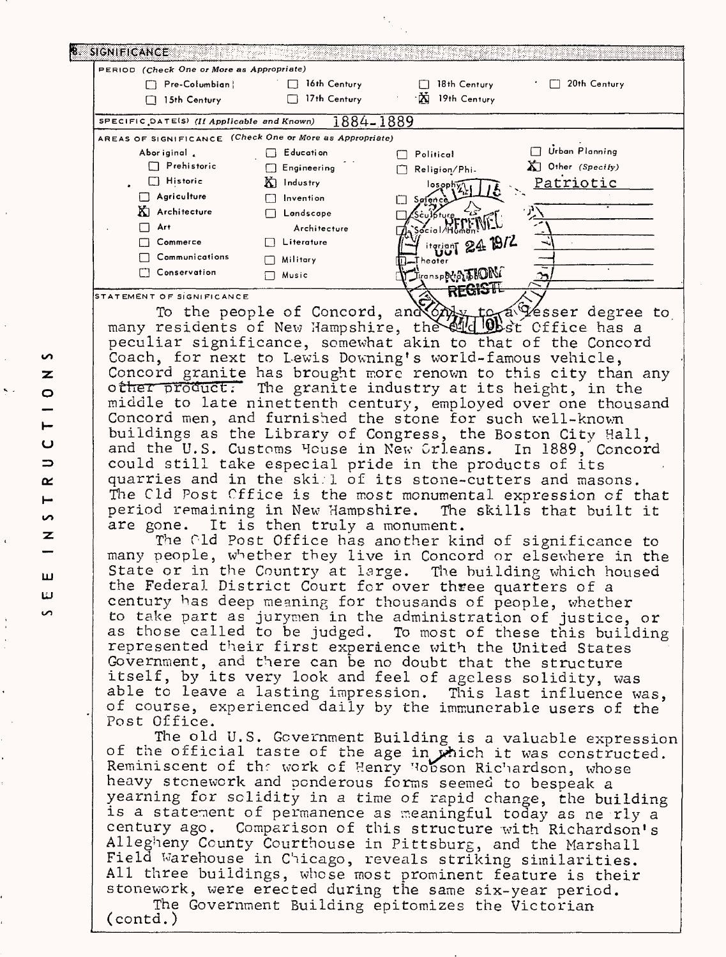| PERIOD (Check One or More as Appropriate)                   |                     |                                       |                                                                                                                            |
|-------------------------------------------------------------|---------------------|---------------------------------------|----------------------------------------------------------------------------------------------------------------------------|
| Pre-Columbian                                               | $\Box$ 16th Century | 18th Century                          | 20th Century                                                                                                               |
| $\Box$ 15th Century                                         | $\Box$ 17th Century | M 19th Century                        |                                                                                                                            |
| SPECIFIC DATE(S) (If Applicable and Known)                  | 1884-1889           |                                       |                                                                                                                            |
| AREAS OF SIGNIFICANCE (Check One or More as Appropriate)    |                     |                                       |                                                                                                                            |
| Aboriginal                                                  | □ Education         | $\Box$ Political                      | Urban Planning                                                                                                             |
| $\Box$ Prehistoric                                          | <b>Engineering</b>  | Religion/Phi-                         | $\sum$ Other (Specify)                                                                                                     |
| $\Box$ Historic                                             | $K$ Industry        |                                       | Patriotic                                                                                                                  |
| Agriculture                                                 | $\Box$ Invention    | $\mathbb{Z}^{\text{oph}}(\mathbb{Z})$ |                                                                                                                            |
| KI Architecture                                             | $\Box$ Landscape    | Søfen                                 |                                                                                                                            |
| $\Box$ Art                                                  | Architecture        |                                       |                                                                                                                            |
| $\Box$ Commerce                                             | $\Box$ Literature   |                                       |                                                                                                                            |
| $\Box$ Communications                                       |                     | iterianT 24 19/2                      |                                                                                                                            |
| Conservation                                                | $\Box$ Military     | Theater                               |                                                                                                                            |
|                                                             | □ Music             | <b>Thouse NATION</b>                  |                                                                                                                            |
| STATEMENT OF SIGNIFICANCE                                   |                     | REGISTE                               |                                                                                                                            |
|                                                             |                     |                                       | To the people of Concord, and Only to a Gesser degree to many residents of New Hampshire, the end of the cffice has a      |
|                                                             |                     |                                       |                                                                                                                            |
| peculiar significance, somewhat akin to that of the Concord |                     |                                       |                                                                                                                            |
| Coach, for next to Lewis Downing's world-famous vehicle,    |                     |                                       |                                                                                                                            |
|                                                             |                     |                                       | Concord granite has brought more renown to this city than any                                                              |
| other product. The granite industry at its height, in the   |                     |                                       |                                                                                                                            |
|                                                             |                     |                                       | middle to late ninettenth century, employed over one thousand                                                              |
|                                                             |                     |                                       |                                                                                                                            |
| Concord men, and furnished the stone for such well-known    |                     |                                       |                                                                                                                            |
| buildings as the Library of Congress, the Boston City Hall, |                     |                                       |                                                                                                                            |
|                                                             |                     |                                       | and the U.S. Customs House in New Crleans. In 1889, Concord                                                                |
| could still take especial pride in the products of its      |                     |                                       |                                                                                                                            |
| quarries and in the skill of its stone-cutters and masons.  |                     |                                       |                                                                                                                            |
|                                                             |                     |                                       | The Cld Post Cffice is the most monumental expression of that                                                              |
|                                                             |                     |                                       | period remaining in New Hampshire. The skills that built it                                                                |
| are gone. It is then truly a monument.                      |                     |                                       |                                                                                                                            |
|                                                             |                     |                                       | The Gld Post Office has another kind of significance to                                                                    |
|                                                             |                     |                                       | many people, whether they live in Concord or elsewhere in the                                                              |
|                                                             |                     |                                       | State or in the Country at large. The building which housed                                                                |
| the Federal District Court for over three quarters of a     |                     |                                       |                                                                                                                            |
| century has deep meaning for thousands of people, whether   |                     |                                       |                                                                                                                            |
|                                                             |                     |                                       |                                                                                                                            |
|                                                             |                     |                                       | to take part as jurymen in the administration of justice, or                                                               |
|                                                             |                     |                                       | as those called to be judged. To most of these this building                                                               |
| represented their first experience with the United States   |                     |                                       |                                                                                                                            |
| Government, and there can be no doubt that the structure    |                     |                                       |                                                                                                                            |
| itself, by its very look and feel of ageless solidity, was  |                     |                                       |                                                                                                                            |
|                                                             |                     |                                       | able to leave a lasting impression. This last influence was,                                                               |
|                                                             |                     |                                       | of course, experienced daily by the immunerable users of the                                                               |
| Post Office.                                                |                     |                                       |                                                                                                                            |
|                                                             |                     |                                       | The old U.S. Government Building is a valuable expression                                                                  |
|                                                             |                     |                                       |                                                                                                                            |
|                                                             |                     |                                       | of the official taste of the age in which it was constructed.<br>Reminiscent of the work of Henry Hobson Richardson, whose |

heavy stonework and ponderous forms seemed to bespeak a yearning for solidity in a time of rapid change, the building is a statement of permanence as meaningful today as ne rly a century ago. Comparison of this structure with Richardson's Allegheny County Courthouse in Pittsburg, and the Marshall Field Warehouse in Chicago, reveals striking similarities. All three buildings, whose most prominent feature is their stonework, were erected during the same six-year period.

The Government Building epitomizes the Victorian (contd.)

S  $\overline{\mathbf{z}}$  $\circ$ Щ Ō  $\Rightarrow$  $\alpha$ مبيرا S. z ш لئا

S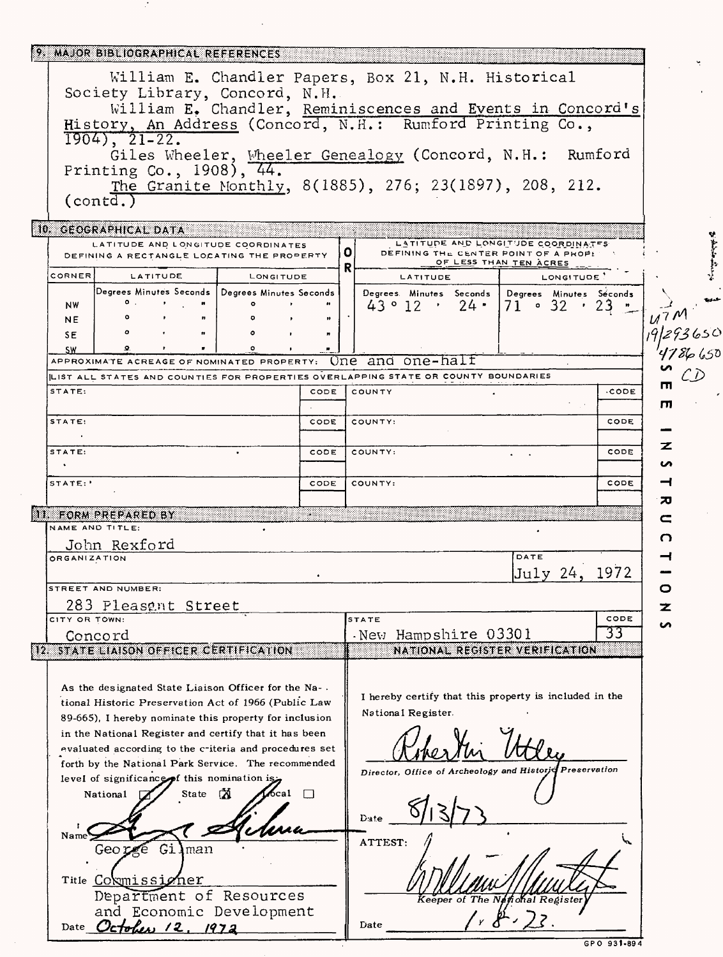| MAJOR BIBLIOGRAPHICAL REFERENCES                                                                                                                                  |                                                                                                                       |        |  |  |  |  |  |  |  |
|-------------------------------------------------------------------------------------------------------------------------------------------------------------------|-----------------------------------------------------------------------------------------------------------------------|--------|--|--|--|--|--|--|--|
| William E. Chandler Papers, Box 21, N.H. Historical<br>Society Library, Concord, N.H.                                                                             |                                                                                                                       |        |  |  |  |  |  |  |  |
| William E. Chandler, Reminiscences and Events in Concord's<br>History, An Address (Concord, N.H.: Rumford Printing Co.,                                           |                                                                                                                       |        |  |  |  |  |  |  |  |
| $1904)$ , $21-22$ .<br>Giles Wheeler, Wheeler Genealogy (Concord, N.H.:                                                                                           | Rumford                                                                                                               |        |  |  |  |  |  |  |  |
| Printing Co., 1908), 44.                                                                                                                                          | The Granite Monthly, 8(1885), 276; 23(1897), 208, 212.                                                                |        |  |  |  |  |  |  |  |
| $($ contd.)                                                                                                                                                       |                                                                                                                       |        |  |  |  |  |  |  |  |
| 10. GEOGRAPHICAL DATA                                                                                                                                             |                                                                                                                       |        |  |  |  |  |  |  |  |
| LATITUDE AND LONGITUDE COORDINATES<br>DEFINING A RECTANGLE LOCATING THE PROPERTY                                                                                  | LATITUDE AND LONGITUDE COORDINATES<br>0<br>DEFINING THE CENTER POINT OF A PROPE<br>OF LESS THAN TEN ACRES<br>R        |        |  |  |  |  |  |  |  |
| CORNER<br>LATITUDE<br>LONGITUDE                                                                                                                                   | LATITUDE<br>LONGITUDE                                                                                                 |        |  |  |  |  |  |  |  |
| Degrees Minutes Seconds   Degrees Minutes Seconds  <br>о.<br><b>NW</b>                                                                                            | Degrees Minutes Seconds<br>Degrees Minutes Seconds<br>$43^{\circ}12^{\circ}$<br>$24$ .<br>$71 \cdot 32$<br>$\cdot$ 23 |        |  |  |  |  |  |  |  |
| n<br><b>NE</b><br>$\bullet$<br>SE.                                                                                                                                |                                                                                                                       |        |  |  |  |  |  |  |  |
| SW.                                                                                                                                                               |                                                                                                                       |        |  |  |  |  |  |  |  |
| APPROXIMATE ACREAGE OF NOMINATED PROPERTY: $\Box$ ne and $\Diamond$ ne-halt<br>LIST ALL STATES AND COUNTIES FOR PROPERTIES OVERLAPPING STATE OR COUNTY BOUNDARIES |                                                                                                                       |        |  |  |  |  |  |  |  |
| STATE:<br>CODE                                                                                                                                                    | COUNTY<br>∙CODE                                                                                                       | ш      |  |  |  |  |  |  |  |
| STATE:<br>CODE                                                                                                                                                    | COUNTY:<br>CODE                                                                                                       | m      |  |  |  |  |  |  |  |
| STATE:<br>CODE                                                                                                                                                    | CODE                                                                                                                  | z      |  |  |  |  |  |  |  |
|                                                                                                                                                                   | COUNTY:                                                                                                               | ທ      |  |  |  |  |  |  |  |
| STATE:'<br>CODE                                                                                                                                                   | CODE<br>COUNTY:                                                                                                       |        |  |  |  |  |  |  |  |
| II. FORM PREPARED BY                                                                                                                                              |                                                                                                                       | ᅍ<br>c |  |  |  |  |  |  |  |
| NAME AND TITLE:<br>John Rexford                                                                                                                                   |                                                                                                                       | О      |  |  |  |  |  |  |  |
| <b>ORGANIZATION</b>                                                                                                                                               | DATE                                                                                                                  |        |  |  |  |  |  |  |  |
| STREET AND NUMBER:                                                                                                                                                | 1972<br>July 24.                                                                                                      | o      |  |  |  |  |  |  |  |
| 283 Pleasent Street                                                                                                                                               |                                                                                                                       | z      |  |  |  |  |  |  |  |
| CITY OR TOWN:<br>Concord                                                                                                                                          | STATE<br>CODE<br>33<br>New Hampshire 03301                                                                            | n      |  |  |  |  |  |  |  |
| 12. STATE LIAISON OFFICER CERTIFICATION                                                                                                                           | NATIONAL REGISTER VERIFICATION                                                                                        |        |  |  |  |  |  |  |  |
|                                                                                                                                                                   |                                                                                                                       |        |  |  |  |  |  |  |  |
| As the designated State Liaison Officer for the Na-.<br>tional Historic Preservation Act of 1966 (Public Law                                                      | I hereby certify that this property is included in the                                                                |        |  |  |  |  |  |  |  |
| 89-665), I hereby nominate this property for inclusion                                                                                                            | National Register.                                                                                                    |        |  |  |  |  |  |  |  |
| in the National Register and certify that it has been<br>evaluated according to the criteria and procedures set                                                   |                                                                                                                       |        |  |  |  |  |  |  |  |
| forth by the National Park Service. The recommended                                                                                                               | Preservation<br>Director, Office of Archeology and Historjq                                                           |        |  |  |  |  |  |  |  |
| level of significance of this nomination is<br>ିମ<br>naal ∩<br>National $\Box$<br>State                                                                           |                                                                                                                       |        |  |  |  |  |  |  |  |
|                                                                                                                                                                   | Date                                                                                                                  |        |  |  |  |  |  |  |  |
| Name <sup>'</sup><br>Gilman<br>George                                                                                                                             | ATTEST:                                                                                                               |        |  |  |  |  |  |  |  |
|                                                                                                                                                                   |                                                                                                                       |        |  |  |  |  |  |  |  |
| Title Coxmissioner<br>Department of Resources                                                                                                                     | Keeper of The National Register                                                                                       |        |  |  |  |  |  |  |  |
| and Economic Development                                                                                                                                          | 4, 8, 72                                                                                                              |        |  |  |  |  |  |  |  |
| Date October 12, 1972                                                                                                                                             | Date<br>GPO 931-894                                                                                                   |        |  |  |  |  |  |  |  |

 $\mathcal{C}$ 

 $\ddot{\phantom{a}}$